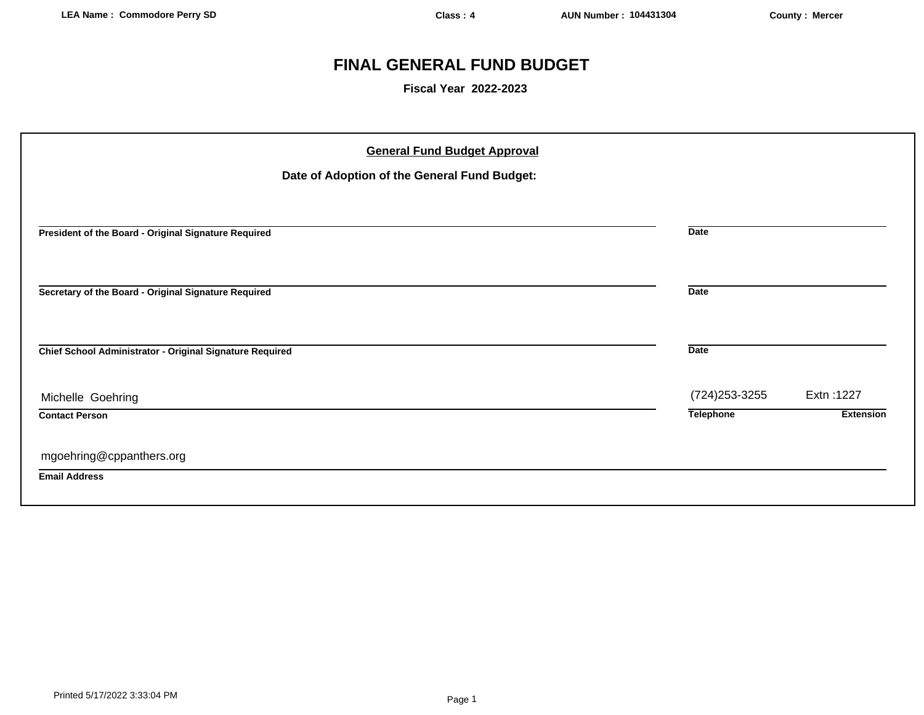# **FINAL GENERAL FUND BUDGET**

**Fiscal Year 2022-2023**

| Date of Adoption of the General Fund Budget:<br>President of the Board - Original Signature Required<br><b>Date</b><br><b>Date</b><br>Secretary of the Board - Original Signature Required |                  |                  |
|--------------------------------------------------------------------------------------------------------------------------------------------------------------------------------------------|------------------|------------------|
|                                                                                                                                                                                            |                  |                  |
|                                                                                                                                                                                            |                  |                  |
|                                                                                                                                                                                            |                  |                  |
|                                                                                                                                                                                            |                  |                  |
| Chief School Administrator - Original Signature Required<br><b>Date</b>                                                                                                                    |                  |                  |
|                                                                                                                                                                                            |                  |                  |
| Michelle Goehring                                                                                                                                                                          | (724) 253-3255   | Extn: 1227       |
| <b>Contact Person</b>                                                                                                                                                                      | <b>Telephone</b> | <b>Extension</b> |
| mgoehring@cppanthers.org<br><b>Email Address</b>                                                                                                                                           |                  |                  |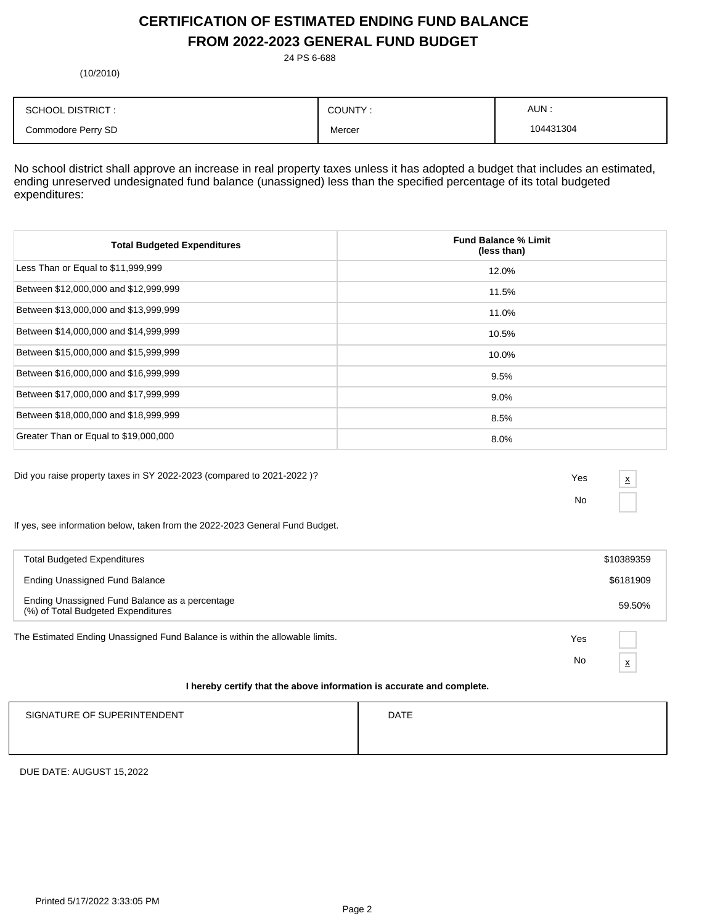# **CERTIFICATION OF ESTIMATED ENDING FUND BALANCE FROM 2022-2023 GENERAL FUND BUDGET**

24 PS 6-688

(10/2010)

| <b>SCHOOL DISTRICT:</b> | COUNTY: | AUN :     |
|-------------------------|---------|-----------|
| Commodore Perry SD      | Mercer  | 104431304 |

No school district shall approve an increase in real property taxes unless it has adopted a budget that includes an estimated, ending unreserved undesignated fund balance (unassigned) less than the specified percentage of its total budgeted expenditures:

| <b>Total Budgeted Expenditures</b>    | <b>Fund Balance % Limit</b><br>(less than) |
|---------------------------------------|--------------------------------------------|
| Less Than or Equal to \$11,999,999    | 12.0%                                      |
| Between \$12,000,000 and \$12,999,999 | 11.5%                                      |
| Between \$13,000,000 and \$13,999,999 | 11.0%                                      |
| Between \$14,000,000 and \$14,999,999 | 10.5%                                      |
| Between \$15,000,000 and \$15,999,999 | 10.0%                                      |
| Between \$16,000,000 and \$16,999,999 | 9.5%                                       |
| Between \$17,000,000 and \$17,999,999 | $9.0\%$                                    |
| Between \$18,000,000 and \$18,999,999 | 8.5%                                       |
| Greater Than or Equal to \$19,000,000 | 8.0%                                       |

Did you raise property taxes in SY 2022-2023 (compared to 2021-2022 )? Yes

No

x

If yes, see information below, taken from the 2022-2023 General Fund Budget.

| <b>Total Budgeted Expenditures</b>                                                   |     | \$10389359 |
|--------------------------------------------------------------------------------------|-----|------------|
| Ending Unassigned Fund Balance                                                       |     | \$6181909  |
| Ending Unassigned Fund Balance as a percentage<br>(%) of Total Budgeted Expenditures |     | 59.50%     |
| The Estimated Ending Unassigned Fund Balance is within the allowable limits.         | Yes |            |
|                                                                                      | No  | x          |
| I hereby certify that the above information is accurate and complete.                |     |            |

# SIGNATURE OF SUPERINTENDENT **EXAMPLE 20** ON THE SIGNATURE OF SUPERINTENDENT

DUE DATE: AUGUST 15,2022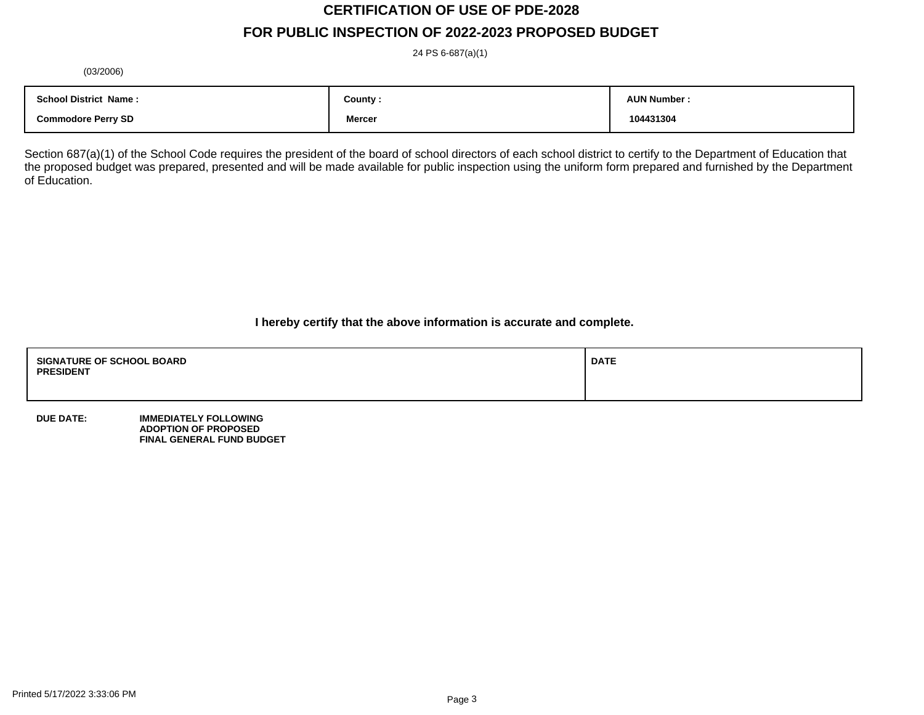# **CERTIFICATION OF USE OF PDE-2028**

# **FOR PUBLIC INSPECTION OF 2022-2023 PROPOSED BUDGET**

24 PS 6-687(a)(1)

(03/2006)

| <b>School District Name:</b> | County :      | <b>AUN Number</b> |
|------------------------------|---------------|-------------------|
| <b>Commodore Perry SD</b>    | <b>Mercer</b> | 104431304         |

Section 687(a)(1) of the School Code requires the president of the board of school directors of each school district to certify to the Department of Education that the proposed budget was prepared, presented and will be made available for public inspection using the uniform form prepared and furnished by the Department of Education.

**I hereby certify that the above information is accurate and complete.**

| <b>SIGNATURE OF SCHOOL BOARD</b><br><b>PRESIDENT</b> | <b>DATE</b> |
|------------------------------------------------------|-------------|
|                                                      |             |

**DUE DATE: IMMEDIATELY FOLLOWING ADOPTION OF PROPOSED FINAL GENERAL FUND BUDGET**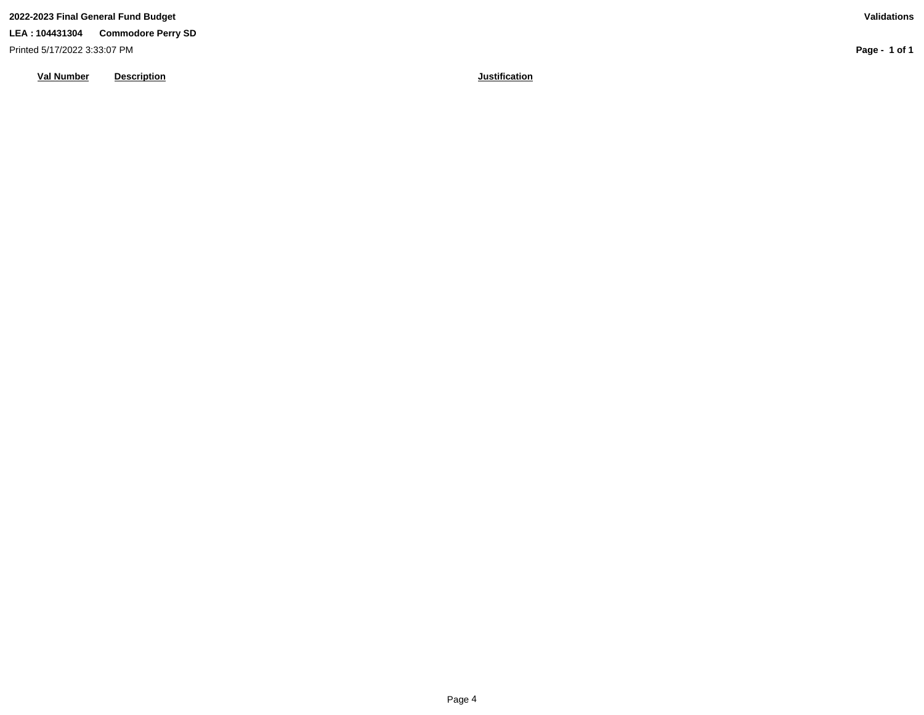**LEA : 104431304 Commodore Perry SD**

Printed 5/17/2022 3:33:07 PM

**Val Number Description Justification**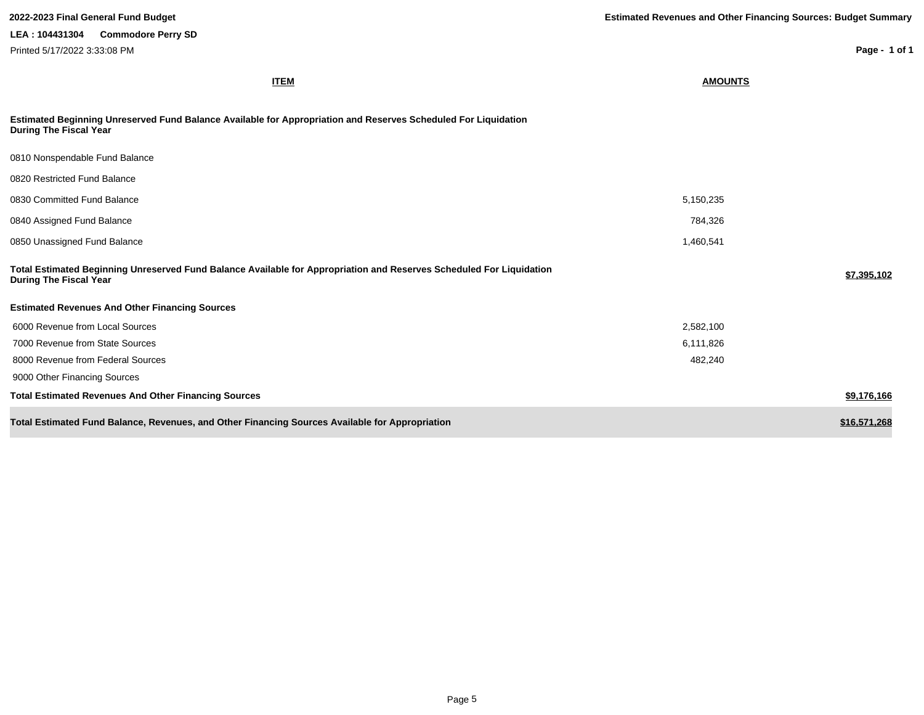| <b>ITEM</b>                                                                                                                                           | <b>AMOUNTS</b> |              |
|-------------------------------------------------------------------------------------------------------------------------------------------------------|----------------|--------------|
| Estimated Beginning Unreserved Fund Balance Available for Appropriation and Reserves Scheduled For Liquidation<br><b>During The Fiscal Year</b>       |                |              |
| 0810 Nonspendable Fund Balance                                                                                                                        |                |              |
| 0820 Restricted Fund Balance                                                                                                                          |                |              |
| 0830 Committed Fund Balance                                                                                                                           | 5,150,235      |              |
| 0840 Assigned Fund Balance                                                                                                                            | 784,326        |              |
| 0850 Unassigned Fund Balance                                                                                                                          | 1,460,541      |              |
| Total Estimated Beginning Unreserved Fund Balance Available for Appropriation and Reserves Scheduled For Liquidation<br><b>During The Fiscal Year</b> |                | \$7,395,102  |
| <b>Estimated Revenues And Other Financing Sources</b>                                                                                                 |                |              |
| 6000 Revenue from Local Sources                                                                                                                       | 2,582,100      |              |
| 7000 Revenue from State Sources                                                                                                                       | 6,111,826      |              |
| 8000 Revenue from Federal Sources                                                                                                                     | 482,240        |              |
| 9000 Other Financing Sources                                                                                                                          |                |              |
| <b>Total Estimated Revenues And Other Financing Sources</b>                                                                                           |                | \$9,176,166  |
| Total Estimated Fund Balance, Revenues, and Other Financing Sources Available for Appropriation                                                       |                | \$16,571,268 |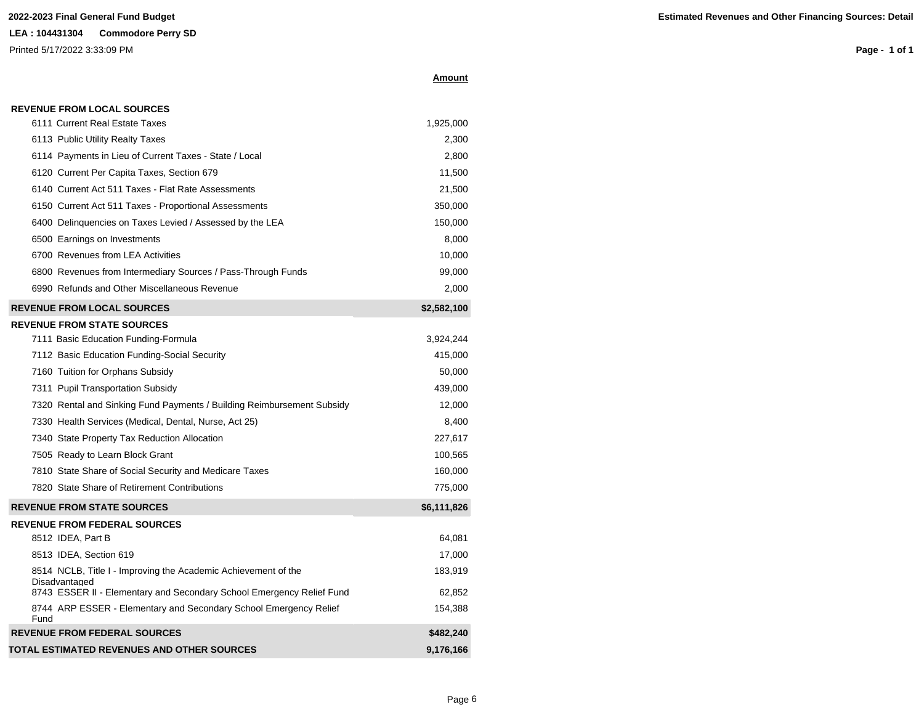#### **LEA : 104431304 Commodore Perry SD**

Printed 5/17/2022 3:33:09 PM

**Page - 1 of 1**

|  |  |  |  |  | <b>REVENUE FROM LOCAL SOURCES</b> |  |
|--|--|--|--|--|-----------------------------------|--|
|  |  |  |  |  |                                   |  |

| 6111 Current Real Estate Taxes                                                                                                                           | 1,925,000         |
|----------------------------------------------------------------------------------------------------------------------------------------------------------|-------------------|
| 6113 Public Utility Realty Taxes                                                                                                                         | 2,300             |
| 6114 Payments in Lieu of Current Taxes - State / Local                                                                                                   | 2,800             |
| 6120 Current Per Capita Taxes, Section 679                                                                                                               | 11,500            |
| 6140 Current Act 511 Taxes - Flat Rate Assessments                                                                                                       | 21,500            |
| 6150 Current Act 511 Taxes - Proportional Assessments                                                                                                    | 350,000           |
| 6400 Delinquencies on Taxes Levied / Assessed by the LEA                                                                                                 | 150,000           |
| 6500 Earnings on Investments                                                                                                                             | 8,000             |
| 6700 Revenues from LEA Activities                                                                                                                        | 10,000            |
| 6800 Revenues from Intermediary Sources / Pass-Through Funds                                                                                             | 99,000            |
| 6990 Refunds and Other Miscellaneous Revenue                                                                                                             | 2,000             |
| <b>REVENUE FROM LOCAL SOURCES</b>                                                                                                                        | \$2,582,100       |
| <b>REVENUE FROM STATE SOURCES</b>                                                                                                                        |                   |
| 7111 Basic Education Funding-Formula                                                                                                                     | 3,924,244         |
| 7112 Basic Education Funding-Social Security                                                                                                             | 415,000           |
| 7160 Tuition for Orphans Subsidy                                                                                                                         | 50,000            |
| 7311 Pupil Transportation Subsidy                                                                                                                        | 439,000           |
| 7320 Rental and Sinking Fund Payments / Building Reimbursement Subsidy                                                                                   | 12,000            |
| 7330 Health Services (Medical, Dental, Nurse, Act 25)                                                                                                    | 8,400             |
| 7340 State Property Tax Reduction Allocation                                                                                                             | 227,617           |
| 7505 Ready to Learn Block Grant                                                                                                                          | 100,565           |
| 7810 State Share of Social Security and Medicare Taxes                                                                                                   | 160,000           |
| 7820 State Share of Retirement Contributions                                                                                                             | 775,000           |
| <b>REVENUE FROM STATE SOURCES</b>                                                                                                                        | \$6,111,826       |
| <b>REVENUE FROM FEDERAL SOURCES</b>                                                                                                                      |                   |
| 8512 IDEA, Part B                                                                                                                                        | 64,081            |
| 8513 IDEA, Section 619                                                                                                                                   | 17,000            |
| 8514 NCLB, Title I - Improving the Academic Achievement of the<br>Disadvantaged<br>8743 ESSER II - Elementary and Secondary School Emergency Relief Fund | 183,919<br>62,852 |
| 8744 ARP ESSER - Elementary and Secondary School Emergency Relief<br>Fund                                                                                | 154,388           |
| <b>REVENUE FROM FEDERAL SOURCES</b>                                                                                                                      | \$482,240         |
| TOTAL ESTIMATED REVENUES AND OTHER SOURCES                                                                                                               | 9.176.166         |

**Amount**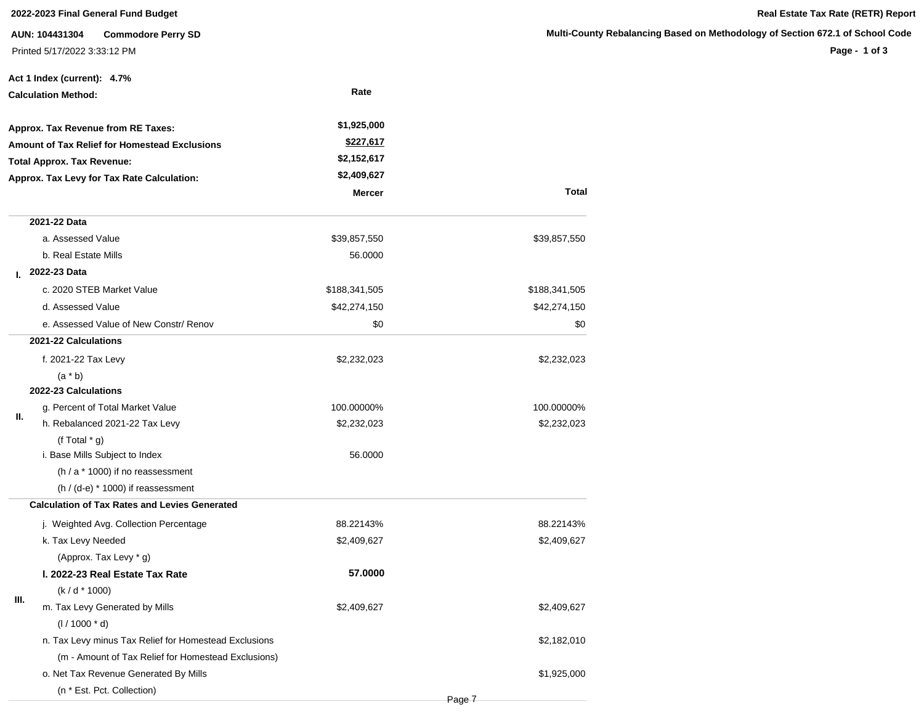#### **2022-2023 Final General Fund Budget Real Estate Tax Rate (RETR) Report**

**AUN: 104431304 Commodore Perry SD** Printed 5/17/2022 3:33:12 PM

#### **Multi-County Rebalancing Based on Methodology of Section 672.1 of School Code**

|      | Act 1 Index (current): 4.7%                           |               |               |
|------|-------------------------------------------------------|---------------|---------------|
|      | <b>Calculation Method:</b>                            | Rate          |               |
|      | Approx. Tax Revenue from RE Taxes:                    | \$1,925,000   |               |
|      | <b>Amount of Tax Relief for Homestead Exclusions</b>  | \$227,617     |               |
|      | <b>Total Approx. Tax Revenue:</b>                     | \$2,152,617   |               |
|      | Approx. Tax Levy for Tax Rate Calculation:            | \$2,409,627   |               |
|      |                                                       | <b>Mercer</b> | <b>Total</b>  |
|      | 2021-22 Data                                          |               |               |
|      | a. Assessed Value                                     | \$39,857,550  | \$39,857,550  |
|      | b. Real Estate Mills                                  | 56.0000       |               |
| L.   | 2022-23 Data                                          |               |               |
|      | c. 2020 STEB Market Value                             | \$188,341,505 | \$188,341,505 |
|      | d. Assessed Value                                     | \$42,274,150  | \$42,274,150  |
|      | e. Assessed Value of New Constr/ Renov                | \$0           | \$0           |
|      | 2021-22 Calculations                                  |               |               |
|      | f. 2021-22 Tax Levy                                   | \$2,232,023   | \$2,232,023   |
|      | $(a * b)$                                             |               |               |
|      | 2022-23 Calculations                                  |               |               |
|      | g. Percent of Total Market Value                      | 100.00000%    | 100.00000%    |
| II.  | h. Rebalanced 2021-22 Tax Levy                        | \$2,232,023   | \$2,232,023   |
|      | (f Total $*$ g)                                       |               |               |
|      | i. Base Mills Subject to Index                        | 56.0000       |               |
|      | (h / a * 1000) if no reassessment                     |               |               |
|      | $(h / (d-e) * 1000)$ if reassessment                  |               |               |
|      | <b>Calculation of Tax Rates and Levies Generated</b>  |               |               |
|      | j. Weighted Avg. Collection Percentage                | 88.22143%     | 88.22143%     |
|      | k. Tax Levy Needed                                    | \$2,409,627   | \$2,409,627   |
|      | (Approx. Tax Levy * g)                                |               |               |
|      | I. 2022-23 Real Estate Tax Rate                       | 57,0000       |               |
|      | $(k/d * 1000)$                                        |               |               |
| III. | m. Tax Levy Generated by Mills                        | \$2,409,627   | \$2,409,627   |
|      | $(1/1000 * d)$                                        |               |               |
|      | n. Tax Levy minus Tax Relief for Homestead Exclusions |               | \$2,182,010   |
|      | (m - Amount of Tax Relief for Homestead Exclusions)   |               |               |
|      | o. Net Tax Revenue Generated By Mills                 |               | \$1,925,000   |
|      | (n * Est. Pct. Collection)                            |               |               |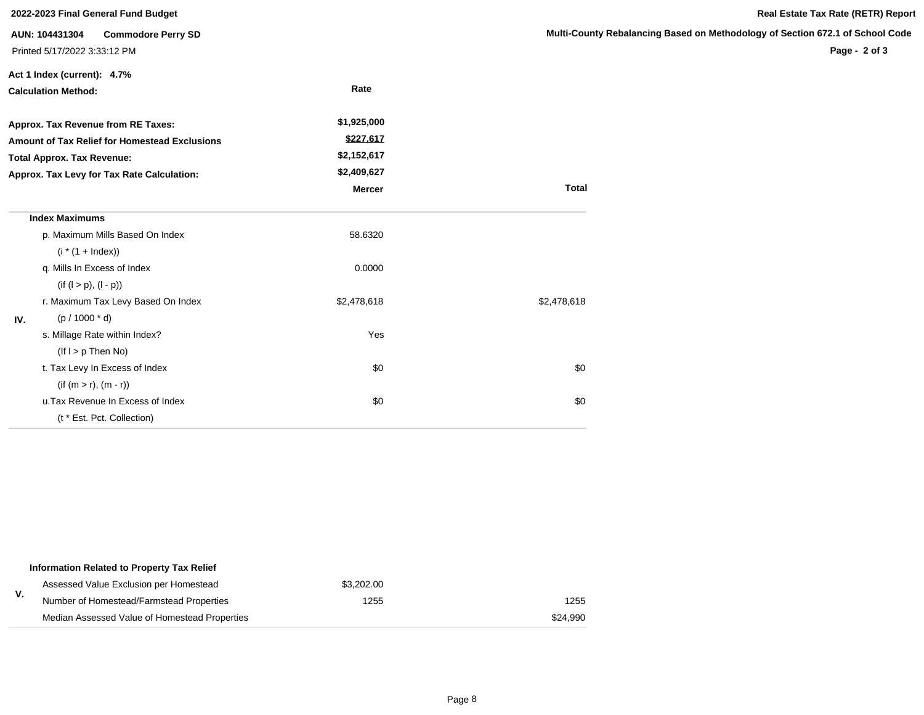|                                                      | 2022-2023 Final General Fund Budget         |               |                           |
|------------------------------------------------------|---------------------------------------------|---------------|---------------------------|
|                                                      | <b>Commodore Perry SD</b><br>AUN: 104431304 |               | <b>Multi-County Rebal</b> |
|                                                      | Printed 5/17/2022 3:33:12 PM                |               |                           |
|                                                      | Act 1 Index (current): 4.7%                 |               |                           |
|                                                      | <b>Calculation Method:</b>                  | Rate          |                           |
|                                                      | Approx. Tax Revenue from RE Taxes:          | \$1,925,000   |                           |
| <b>Amount of Tax Relief for Homestead Exclusions</b> |                                             | \$227,617     |                           |
|                                                      | <b>Total Approx. Tax Revenue:</b>           | \$2,152,617   |                           |
|                                                      | Approx. Tax Levy for Tax Rate Calculation:  | \$2,409,627   |                           |
|                                                      |                                             | <b>Mercer</b> | <b>Total</b>              |
|                                                      | <b>Index Maximums</b>                       |               |                           |
|                                                      | p. Maximum Mills Based On Index             | 58.6320       |                           |
|                                                      | $(i * (1 + Index))$                         |               |                           |
|                                                      | q. Mills In Excess of Index                 | 0.0000        |                           |
|                                                      | $(if (l > p), (l - p))$                     |               |                           |
|                                                      | r. Maximum Tax Levy Based On Index          | \$2,478,618   | \$2,478,618               |
| IV.                                                  | $(p / 1000 * d)$                            |               |                           |
|                                                      | s. Millage Rate within Index?               | Yes           |                           |
|                                                      | $($ lf $I > p$ Then No)                     |               |                           |
|                                                      | t. Tax Levy In Excess of Index              | \$0           | \$0                       |
|                                                      | $(if (m > r), (m - r))$                     |               |                           |
|                                                      | u. Tax Revenue In Excess of Index           | \$0           | \$0                       |
|                                                      | (t * Est. Pct. Collection)                  |               |                           |

|    | Information Related to Property Tax Relief    |            |          |
|----|-----------------------------------------------|------------|----------|
|    | Assessed Value Exclusion per Homestead        | \$3.202.00 |          |
| v. | Number of Homestead/Farmstead Properties      | 1255       | 1255     |
|    | Median Assessed Value of Homestead Properties |            | \$24.990 |

Page 8

### **Real Estate Tax Rate (RETR) Report**

#### **Mancing Based on Methodology of Section 672.1 of School Code**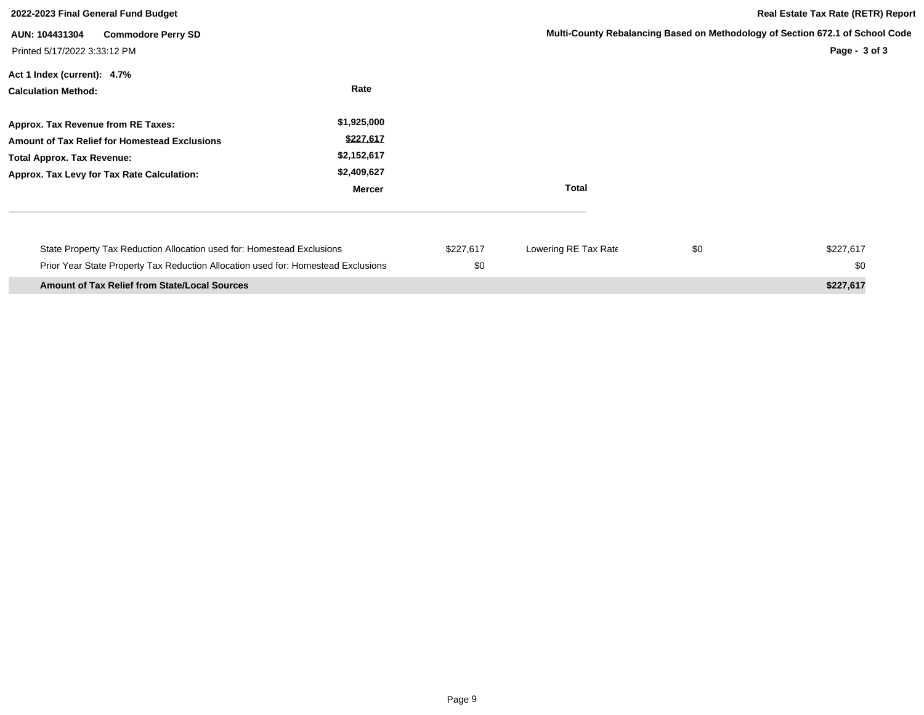| 2022-2023 Final General Fund Budget                                                                                                                                    |                                                                  |                  |                      | <b>Real Estate Tax Rate (RETR) Report</b> |                                                                                                |
|------------------------------------------------------------------------------------------------------------------------------------------------------------------------|------------------------------------------------------------------|------------------|----------------------|-------------------------------------------|------------------------------------------------------------------------------------------------|
| AUN: 104431304<br><b>Commodore Perry SD</b><br>Printed 5/17/2022 3:33:12 PM                                                                                            |                                                                  |                  |                      |                                           | Multi-County Rebalancing Based on Methodology of Section 672.1 of School Code<br>Page - 3 of 3 |
| Act 1 Index (current): 4.7%<br><b>Calculation Method:</b>                                                                                                              | Rate                                                             |                  |                      |                                           |                                                                                                |
| Approx. Tax Revenue from RE Taxes:<br>Amount of Tax Relief for Homestead Exclusions<br><b>Total Approx. Tax Revenue:</b><br>Approx. Tax Levy for Tax Rate Calculation: | \$1,925,000<br>\$227,617<br>\$2,152,617<br>\$2,409,627<br>Mercer |                  | <b>Total</b>         |                                           |                                                                                                |
| State Property Tax Reduction Allocation used for: Homestead Exclusions<br>Prior Year State Property Tax Reduction Allocation used for: Homestead Exclusions            |                                                                  | \$227,617<br>\$0 | Lowering RE Tax Rate | \$0                                       | \$227,617<br>\$0                                                                               |
| <b>Amount of Tax Relief from State/Local Sources</b>                                                                                                                   |                                                                  |                  |                      |                                           | \$227,617                                                                                      |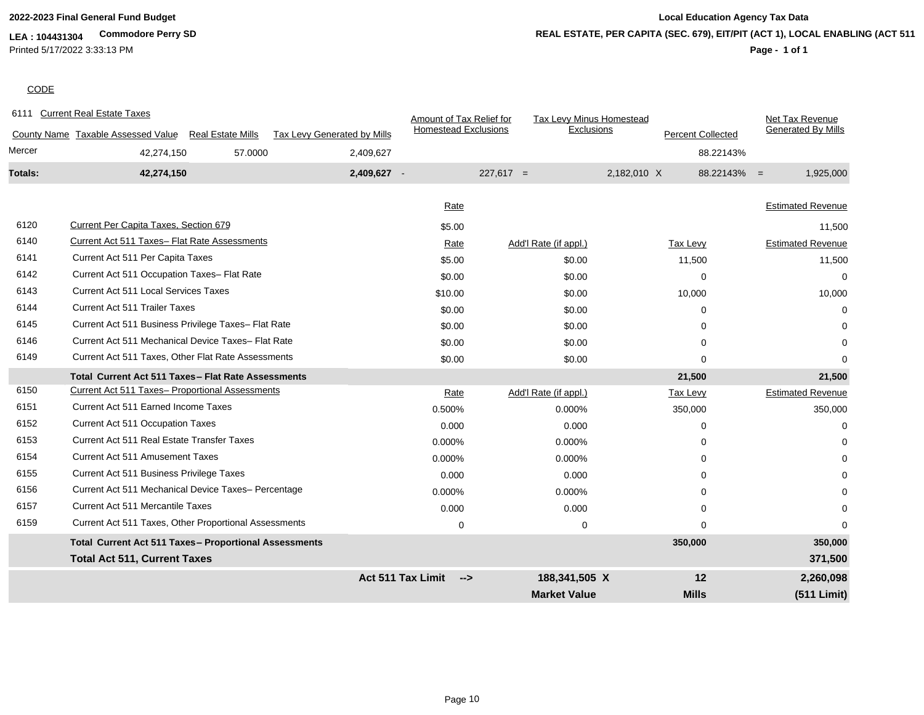**LEA : 104431304 Commodore Perry SD** Printed 5/17/2022 3:33:13 PM

## **2022-2023 Final General Fund Budget Local Education Agency Tax Data Page - 1 of 1 REAL ESTATE, PER CAPITA (SEC. 679), EIT/PIT (ACT 1), LOCAL ENABLING (ACT 511)**

# **CODE**

|         | 6111 Current Real Estate Taxes                                 |                             | Amount of Tax Relief for    | Tax Levy Minus Homestead |                          | Net Tax Revenue             |
|---------|----------------------------------------------------------------|-----------------------------|-----------------------------|--------------------------|--------------------------|-----------------------------|
|         | County Name Taxable Assessed Value<br><b>Real Estate Mills</b> | Tax Levy Generated by Mills | <b>Homestead Exclusions</b> | Exclusions               | <b>Percent Collected</b> | <b>Generated By Mills</b>   |
| Mercer  | 42,274,150<br>57.0000                                          | 2,409,627                   |                             |                          |                          | 88.22143%                   |
| Totals: | 42,274,150                                                     | 2,409,627 -                 |                             | $227,617 =$              | 2,182,010 X              | $88.22143\% =$<br>1,925,000 |
|         |                                                                |                             |                             |                          |                          |                             |
|         |                                                                |                             | Rate                        |                          |                          | <b>Estimated Revenue</b>    |
| 6120    | Current Per Capita Taxes, Section 679                          |                             | \$5.00                      |                          |                          | 11,500                      |
| 6140    | Current Act 511 Taxes- Flat Rate Assessments                   |                             | Rate                        | Add'l Rate (if appl.)    | Tax Levy                 | <b>Estimated Revenue</b>    |
| 6141    | Current Act 511 Per Capita Taxes                               |                             | \$5.00                      | \$0.00                   | 11,500                   | 11,500                      |
| 6142    | Current Act 511 Occupation Taxes- Flat Rate                    |                             | \$0.00                      | \$0.00                   | $\Omega$                 | $\Omega$                    |
| 6143    | <b>Current Act 511 Local Services Taxes</b>                    |                             | \$10.00                     | \$0.00                   | 10,000                   | 10,000                      |
| 6144    | <b>Current Act 511 Trailer Taxes</b>                           |                             | \$0.00                      | \$0.00                   | $\Omega$                 | 0                           |
| 6145    | Current Act 511 Business Privilege Taxes- Flat Rate            |                             | \$0.00                      | \$0.00                   | $\Omega$                 |                             |
| 6146    | Current Act 511 Mechanical Device Taxes- Flat Rate             |                             | \$0.00                      | \$0.00                   | $\Omega$                 |                             |
| 6149    | Current Act 511 Taxes, Other Flat Rate Assessments             |                             | \$0.00                      | \$0.00                   | $\mathbf 0$              | n                           |
|         | Total Current Act 511 Taxes - Flat Rate Assessments            |                             |                             |                          | 21,500                   | 21,500                      |
| 6150    | Current Act 511 Taxes- Proportional Assessments                |                             | Rate                        | Add'l Rate (if appl.)    | <b>Tax Levy</b>          | <b>Estimated Revenue</b>    |
| 6151    | Current Act 511 Earned Income Taxes                            |                             | 0.500%                      | 0.000%                   | 350,000                  | 350,000                     |
| 6152    | <b>Current Act 511 Occupation Taxes</b>                        |                             | 0.000                       | 0.000                    | 0                        | 0                           |
| 6153    | Current Act 511 Real Estate Transfer Taxes                     |                             | 0.000%                      | 0.000%                   | $\Omega$                 |                             |
| 6154    | <b>Current Act 511 Amusement Taxes</b>                         |                             | 0.000%                      | 0.000%                   | $\Omega$                 |                             |
| 6155    | Current Act 511 Business Privilege Taxes                       |                             | 0.000                       | 0.000                    | $\Omega$                 |                             |
| 6156    | Current Act 511 Mechanical Device Taxes- Percentage            |                             | 0.000%                      | 0.000%                   | $\Omega$                 |                             |
| 6157    | <b>Current Act 511 Mercantile Taxes</b>                        |                             | 0.000                       | 0.000                    | 0                        |                             |
| 6159    | Current Act 511 Taxes, Other Proportional Assessments          |                             | 0                           | 0                        | $\Omega$                 | 0                           |
|         | Total Current Act 511 Taxes- Proportional Assessments          |                             |                             |                          | 350,000                  | 350,000                     |
|         | <b>Total Act 511, Current Taxes</b>                            |                             |                             |                          |                          | 371,500                     |
|         |                                                                | Act 511 Tax Limit           | $\rightarrow$               | 188,341,505 X            | 12                       | 2,260,098                   |
|         |                                                                |                             |                             | <b>Market Value</b>      | <b>Mills</b>             | (511 Limit)                 |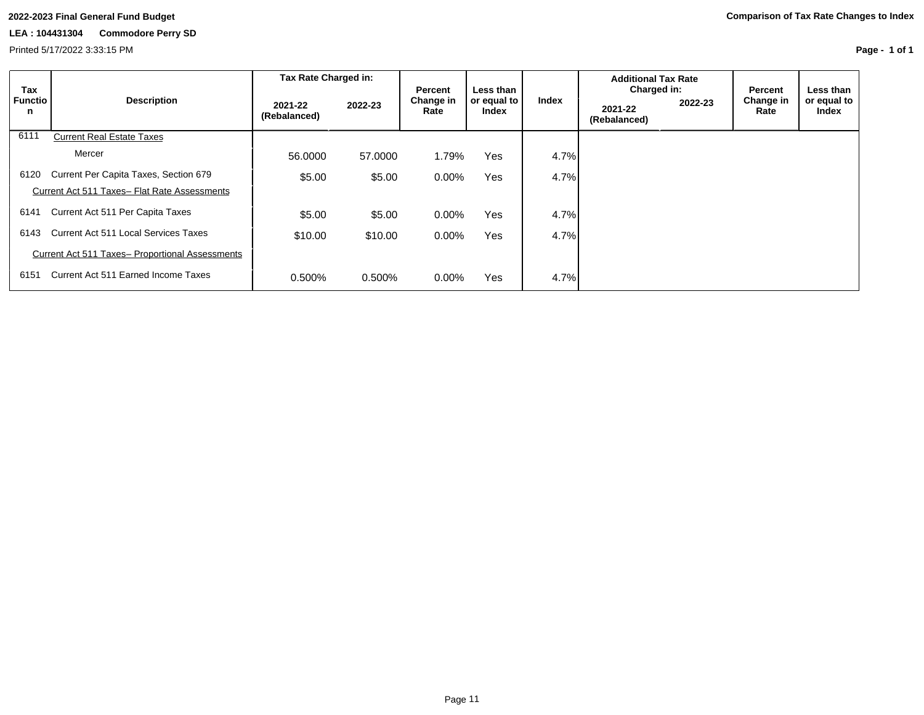Printed 5/17/2022 3:33:15 PM

|                            |                                                 | Tax Rate Charged in:    |         |                              |                                   |       | <b>Additional Tax Rate</b>             |         |                              |                                   |
|----------------------------|-------------------------------------------------|-------------------------|---------|------------------------------|-----------------------------------|-------|----------------------------------------|---------|------------------------------|-----------------------------------|
| Tax<br><b>Functio</b><br>n | <b>Description</b>                              | 2021-22<br>(Rebalanced) | 2022-23 | Percent<br>Change in<br>Rate | Less than<br>or equal to<br>Index | Index | Charged in:<br>2021-22<br>(Rebalanced) | 2022-23 | Percent<br>Change in<br>Rate | Less than<br>or equal to<br>Index |
| 6111                       | <b>Current Real Estate Taxes</b>                |                         |         |                              |                                   |       |                                        |         |                              |                                   |
|                            | Mercer                                          | 56,0000                 | 57,0000 | 1.79%                        | Yes                               | 4.7%  |                                        |         |                              |                                   |
| 6120                       | Current Per Capita Taxes, Section 679           | \$5.00                  | \$5.00  | $0.00\%$                     | <b>Yes</b>                        | 4.7%  |                                        |         |                              |                                   |
|                            | Current Act 511 Taxes- Flat Rate Assessments    |                         |         |                              |                                   |       |                                        |         |                              |                                   |
| 6141                       | Current Act 511 Per Capita Taxes                | \$5.00                  | \$5.00  | $0.00\%$                     | Yes                               | 4.7%  |                                        |         |                              |                                   |
| 6143                       | Current Act 511 Local Services Taxes            | \$10.00                 | \$10.00 | $0.00\%$                     | Yes                               | 4.7%  |                                        |         |                              |                                   |
|                            | Current Act 511 Taxes- Proportional Assessments |                         |         |                              |                                   |       |                                        |         |                              |                                   |
| 6151                       | Current Act 511 Earned Income Taxes             | 0.500%                  | 0.500%  | 0.00%                        | Yes                               | 4.7%  |                                        |         |                              |                                   |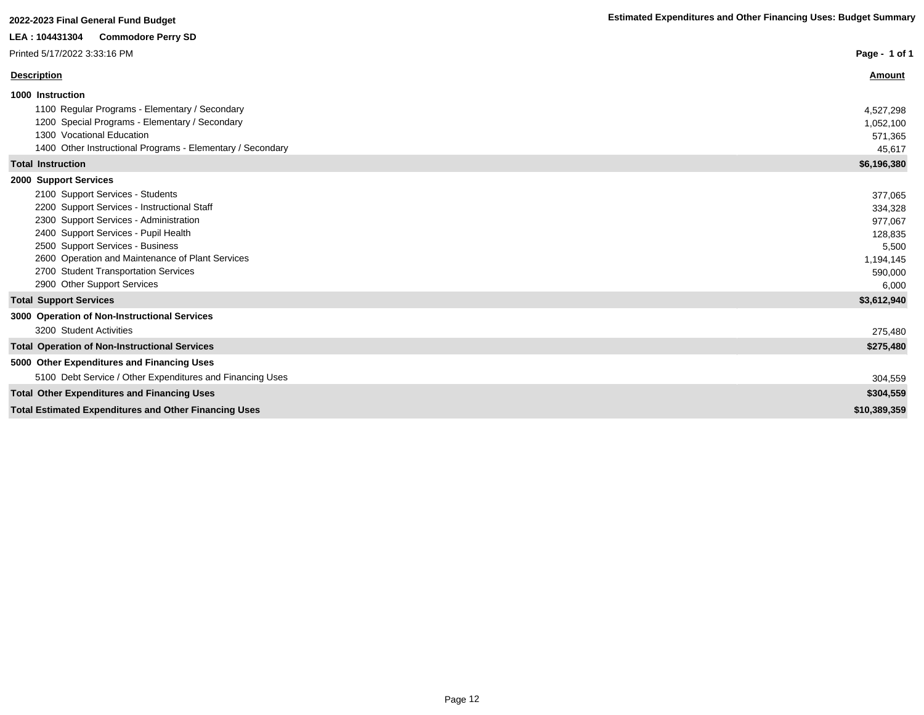| LEA: 104431304<br><b>Commodore Perry SD</b>                  |               |
|--------------------------------------------------------------|---------------|
| Printed 5/17/2022 3:33:16 PM                                 | Page - 1 of 1 |
| <b>Description</b>                                           | Amount        |
| 1000 Instruction                                             |               |
| 1100 Regular Programs - Elementary / Secondary               | 4,527,298     |
| 1200 Special Programs - Elementary / Secondary               | 1,052,100     |
| 1300 Vocational Education                                    | 571.365       |
| 1400 Other Instructional Programs - Elementary / Secondary   | 45,617        |
| <b>Total Instruction</b>                                     | \$6,196,380   |
| 2000 Support Services                                        |               |
| 2100 Support Services - Students                             | 377,065       |
| 2200 Support Services - Instructional Staff                  | 334,328       |
| 2300 Support Services - Administration                       | 977.067       |
| 2400 Support Services - Pupil Health                         | 128,835       |
| 2500 Support Services - Business                             | 5,500         |
| 2600 Operation and Maintenance of Plant Services             | 1,194,145     |
| 2700 Student Transportation Services                         | 590,000       |
| 2900 Other Support Services                                  | 6,000         |
| <b>Total Support Services</b>                                | \$3,612,940   |
| 3000 Operation of Non-Instructional Services                 |               |
| 3200 Student Activities                                      | 275,480       |
| <b>Total Operation of Non-Instructional Services</b>         | \$275,480     |
| 5000 Other Expenditures and Financing Uses                   |               |
| 5100 Debt Service / Other Expenditures and Financing Uses    | 304,559       |
| <b>Total Other Expenditures and Financing Uses</b>           | \$304,559     |
| <b>Total Estimated Expenditures and Other Financing Uses</b> | \$10,389,359  |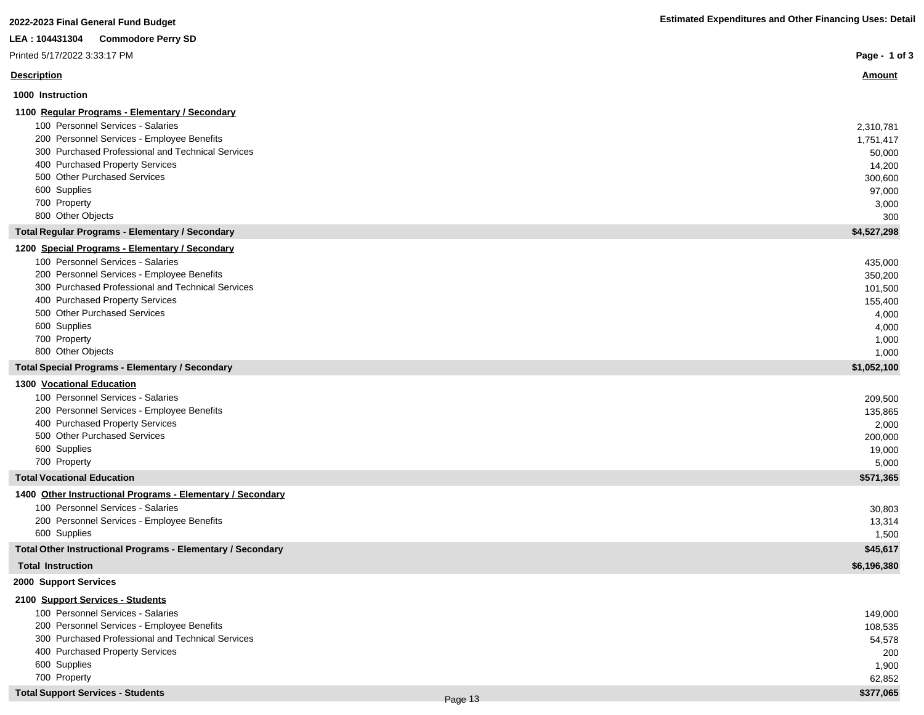| 2022-2023 Final General Fund Budget                         | <b>Estimated Expenditures and Other Financing Uses: Detail</b> |
|-------------------------------------------------------------|----------------------------------------------------------------|
| LEA: 104431304<br><b>Commodore Perry SD</b>                 |                                                                |
| Printed 5/17/2022 3:33:17 PM                                | Page - 1 of 3                                                  |
| <b>Description</b>                                          | <u>Amount</u>                                                  |
| 1000 Instruction                                            |                                                                |
| 1100 Regular Programs - Elementary / Secondary              |                                                                |
| 100 Personnel Services - Salaries                           | 2,310,781                                                      |
| 200 Personnel Services - Employee Benefits                  | 1,751,417                                                      |
| 300 Purchased Professional and Technical Services           | 50,000                                                         |
| 400 Purchased Property Services                             | 14,200                                                         |
| 500 Other Purchased Services                                | 300,600                                                        |
| 600 Supplies                                                | 97,000                                                         |
| 700 Property                                                | 3,000                                                          |
| 800 Other Objects                                           | 300                                                            |
| <b>Total Regular Programs - Elementary / Secondary</b>      | \$4,527,298                                                    |
| 1200 Special Programs - Elementary / Secondary              |                                                                |
| 100 Personnel Services - Salaries                           | 435,000                                                        |
| 200 Personnel Services - Employee Benefits                  | 350,200                                                        |
| 300 Purchased Professional and Technical Services           | 101,500                                                        |
| 400 Purchased Property Services                             | 155,400                                                        |
| 500 Other Purchased Services                                | 4,000                                                          |
| 600 Supplies                                                | 4,000                                                          |
| 700 Property<br>800 Other Objects                           | 1,000                                                          |
| <b>Total Special Programs - Elementary / Secondary</b>      | 1,000<br>\$1,052,100                                           |
| 1300 Vocational Education                                   |                                                                |
| 100 Personnel Services - Salaries                           | 209,500                                                        |
| 200 Personnel Services - Employee Benefits                  | 135,865                                                        |
| 400 Purchased Property Services                             | 2,000                                                          |
| 500 Other Purchased Services                                | 200,000                                                        |
| 600 Supplies                                                | 19,000                                                         |
| 700 Property                                                | 5,000                                                          |
| <b>Total Vocational Education</b>                           | \$571,365                                                      |
| 1400 Other Instructional Programs - Elementary / Secondary  |                                                                |
| 100 Personnel Services - Salaries                           | 30,803                                                         |
| 200 Personnel Services - Employee Benefits                  | 13,314                                                         |
| 600 Supplies                                                | 1,500                                                          |
| Total Other Instructional Programs - Elementary / Secondary | \$45,617                                                       |
| <b>Total Instruction</b>                                    | \$6,196,380                                                    |
| 2000 Support Services                                       |                                                                |
| 2100 Support Services - Students                            |                                                                |
| 100 Personnel Services - Salaries                           | 149,000                                                        |
| 200 Personnel Services - Employee Benefits                  | 108,535                                                        |
| 300 Purchased Professional and Technical Services           | 54,578                                                         |
| 400 Purchased Property Services                             | 200                                                            |
| 600 Supplies                                                | 1,900                                                          |
| 700 Property                                                | 62,852                                                         |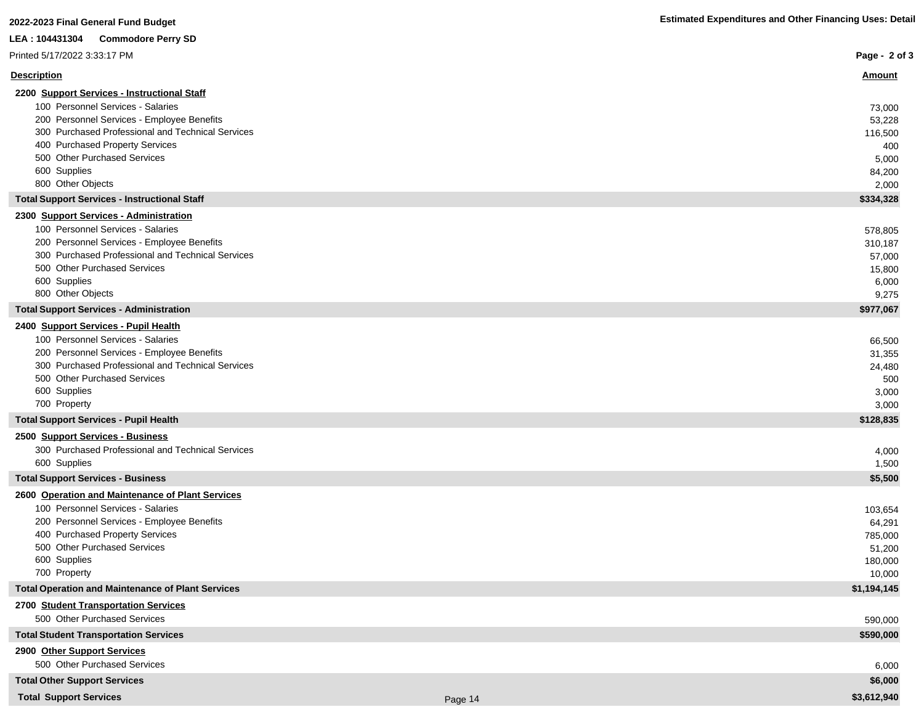## **2022-2023 Final General Fund Budget Estimated Expenditures and Other Financing Uses: Detail LEA : 104431304 Commodore Perry SD** Printed 5/17/2022 3:33:17 PM

| Printed 5/17/2022 3:33:17 PM                        | Page - 2 of 3 |
|-----------------------------------------------------|---------------|
| <b>Description</b>                                  | Amount        |
| 2200 Support Services - Instructional Staff         |               |
| 100 Personnel Services - Salaries                   | 73,000        |
| 200 Personnel Services - Employee Benefits          | 53,228        |
| 300 Purchased Professional and Technical Services   | 116,500       |
| 400 Purchased Property Services                     | 400           |
| 500 Other Purchased Services                        | 5,000         |
| 600 Supplies                                        | 84,200        |
| 800 Other Objects                                   | 2,000         |
| <b>Total Support Services - Instructional Staff</b> | \$334,328     |
| 2300 Support Services - Administration              |               |
| 100 Personnel Services - Salaries                   | 578,805       |
| 200 Personnel Services - Employee Benefits          | 310,187       |
| 300 Purchased Professional and Technical Services   | 57,000        |
| 500 Other Purchased Services                        | 15,800        |
| 600 Supplies                                        | 6,000         |
| 800 Other Objects                                   | 9,275         |
| <b>Total Support Services - Administration</b>      | \$977,067     |
| 2400 Support Services - Pupil Health                |               |
| 100 Personnel Services - Salaries                   | 66,500        |
| 200 Personnel Services - Employee Benefits          | 31,355        |
| 300 Purchased Professional and Technical Services   | 24,480        |
| 500 Other Purchased Services                        | 500           |
| 600 Supplies                                        | 3,000         |
| 700 Property                                        | 3,000         |
| <b>Total Support Services - Pupil Health</b>        | \$128,835     |
| 2500 Support Services - Business                    |               |
| 300 Purchased Professional and Technical Services   | 4,000         |
| 600 Supplies                                        | 1,500         |
| <b>Total Support Services - Business</b>            | \$5,500       |
| 2600 Operation and Maintenance of Plant Services    |               |

| 100 Personnel Services - Salaries                        | 103,654     |
|----------------------------------------------------------|-------------|
| 200 Personnel Services - Employee Benefits               | 64,291      |
| 400 Purchased Property Services                          | 785,000     |
| 500 Other Purchased Services                             | 51,200      |
| 600 Supplies                                             | 180,000     |
| 700 Property                                             | 10,000      |
| <b>Total Operation and Maintenance of Plant Services</b> | \$1,194,145 |
| 2700 Student Transportation Services                     |             |
| 500 Other Purchased Services                             | 590.000     |

**Total Student Transportation Services \$590,000 2900 Other Support Services** 500 Other Purchased Services 6,000

**Total Other Support Services \$6,000 Total Support Services \$3,612,940** Page 14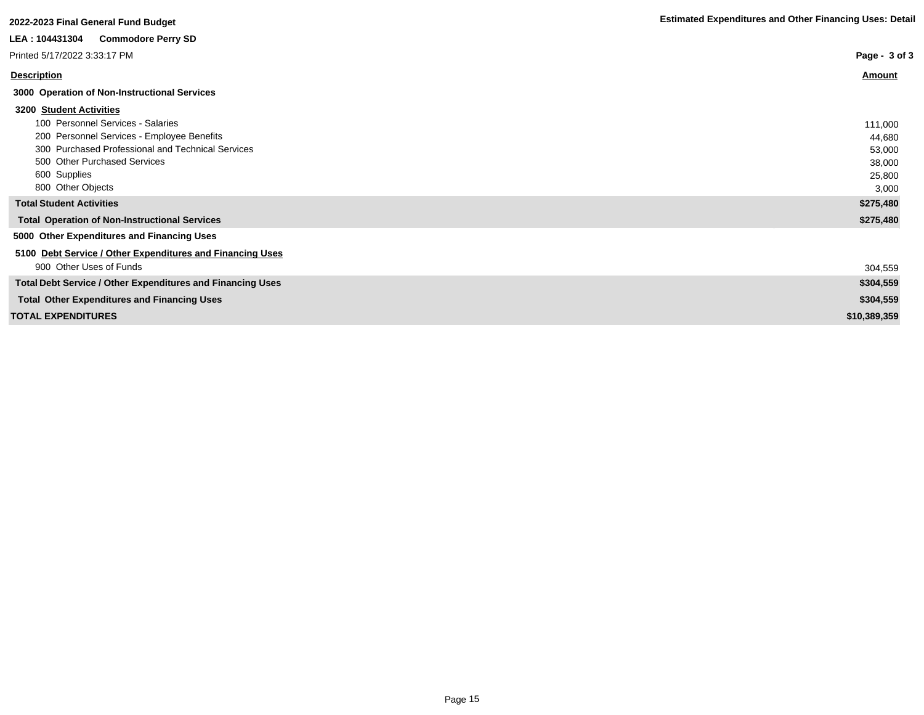| Page - 3 of 3 |
|---------------|
| Amount        |
|               |
|               |
| 111,000       |
| 44,680        |
| 53,000        |
| 38,000        |
| 25,800        |
| 3,000         |
| \$275,480     |
| \$275,480     |
|               |
|               |
| 304,559       |
| \$304,559     |
| \$304,559     |
| \$10,389,359  |
|               |